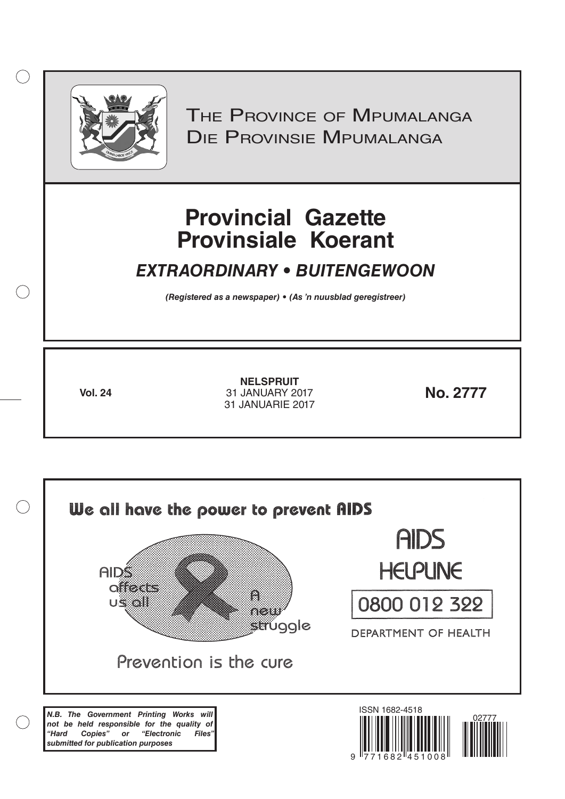

 $( )$ 

THE PROVINCE OF MPUMALANGA Die Provinsie Mpumalanga

# **Provincial Gazette Provinsiale Koerant**

## *EXTRAORDINARY • BUITENGEWOON*

*(Registered as a newspaper) • (As 'n nuusblad geregistreer)*

**Vol. 24 No. 2777** 31 JANUARY 2017 **NELSPRUIT** 31 JANUARIE 2017

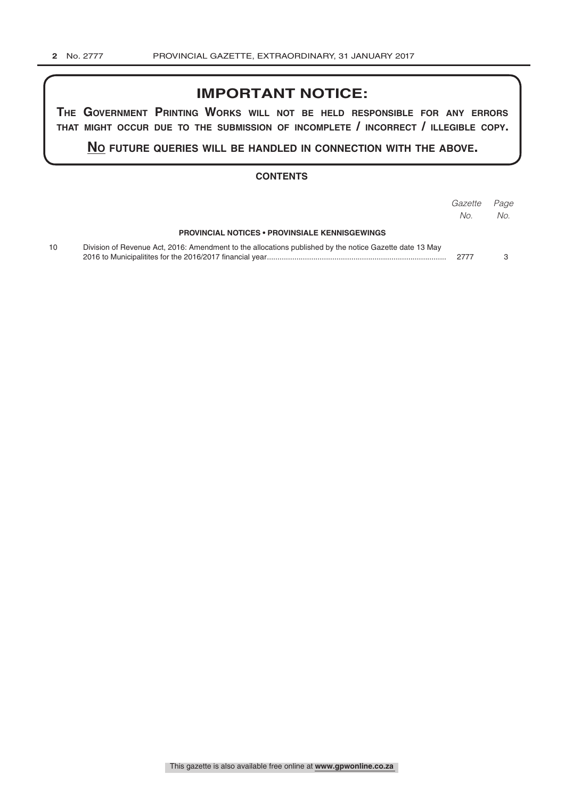### **IMPORTANT NOTICE:**

**The GovernmenT PrinTinG Works Will noT be held resPonsible for any errors ThaT miGhT occur due To The submission of incomPleTe / incorrecT / illeGible coPy.**

**no fuTure queries Will be handled in connecTion WiTh The above.**

#### **CONTENTS**

|    |                                                                                                         | Gazette<br>No. | Page<br>No. |
|----|---------------------------------------------------------------------------------------------------------|----------------|-------------|
|    | <b>PROVINCIAL NOTICES • PROVINSIALE KENNISGEWINGS</b>                                                   |                |             |
| 10 | Division of Revenue Act, 2016: Amendment to the allocations published by the notice Gazette date 13 May | 2777           |             |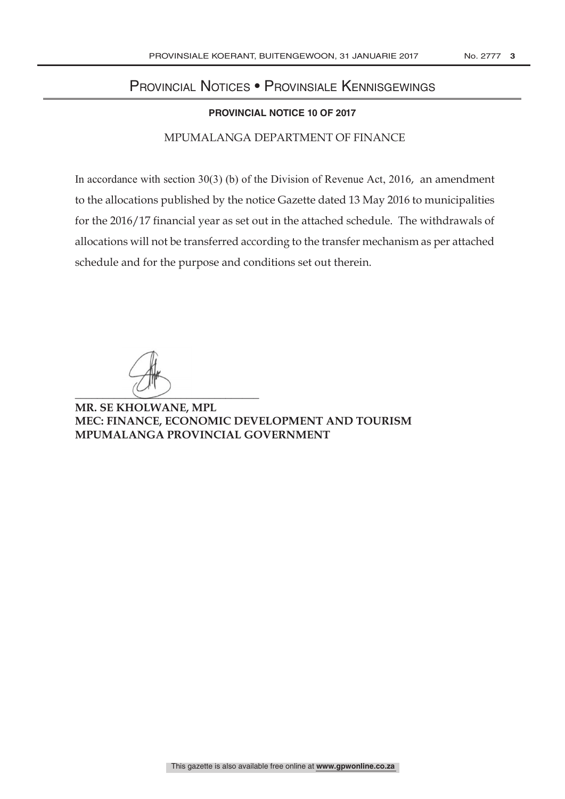#### Provincial Notices • Provinsiale Kennisgewings <u>NOTICE ….. OF 2016</u>

#### **PROVINCIAL NOTICE 10 OF 2017**

#### MPUMALANGA DEPARTMENT OF FINANCE

In accordance with section 30(3) (b) of the Division of Revenue Act, 2016, an amendment to the allocations published by the notice Gazette dated 13 May 2016 to municipalities for the 2016/17 financial year as set out in the attached schedule. The withdrawals of allocations will not be transferred according to the transfer mechanism as per attached schedule and for the purpose and conditions set out therein.

 $\overline{\phantom{a}}$ 

**MR. SE KHOLWANE, MPL MEC: FINANCE, ECONOMIC DEVELOPMENT AND TOURISM MPUMALANGA PROVINCIAL GOVERNMENT**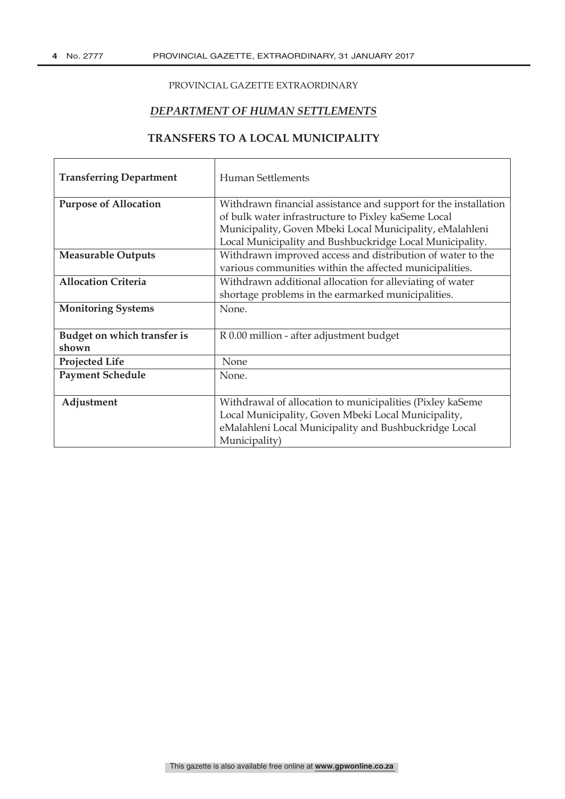Г

٦

#### PROVINCIAL GAZETTE EXTRAORDINARY

#### *DEPARTMENT OF HUMAN SETTLEMENTS*

#### **TRANSFERS TO A LOCAL MUNICIPALITY**

 $\top$ 

| <b>Transferring Department</b>       | <b>Human Settlements</b>                                                                                                                                                                                                                       |  |  |
|--------------------------------------|------------------------------------------------------------------------------------------------------------------------------------------------------------------------------------------------------------------------------------------------|--|--|
| <b>Purpose of Allocation</b>         | Withdrawn financial assistance and support for the installation<br>of bulk water infrastructure to Pixley kaSeme Local<br>Municipality, Goven Mbeki Local Municipality, eMalahleni<br>Local Municipality and Bushbuckridge Local Municipality. |  |  |
| <b>Measurable Outputs</b>            | Withdrawn improved access and distribution of water to the<br>various communities within the affected municipalities.                                                                                                                          |  |  |
| <b>Allocation Criteria</b>           | Withdrawn additional allocation for alleviating of water<br>shortage problems in the earmarked municipalities.                                                                                                                                 |  |  |
| <b>Monitoring Systems</b>            | None.                                                                                                                                                                                                                                          |  |  |
| Budget on which transfer is<br>shown | R 0.00 million - after adjustment budget                                                                                                                                                                                                       |  |  |
| <b>Projected Life</b>                | None                                                                                                                                                                                                                                           |  |  |
| <b>Payment Schedule</b>              | None.                                                                                                                                                                                                                                          |  |  |
| Adjustment                           | Withdrawal of allocation to municipalities (Pixley kaSeme<br>Local Municipality, Goven Mbeki Local Municipality,<br>eMalahleni Local Municipality and Bushbuckridge Local<br>Municipality)                                                     |  |  |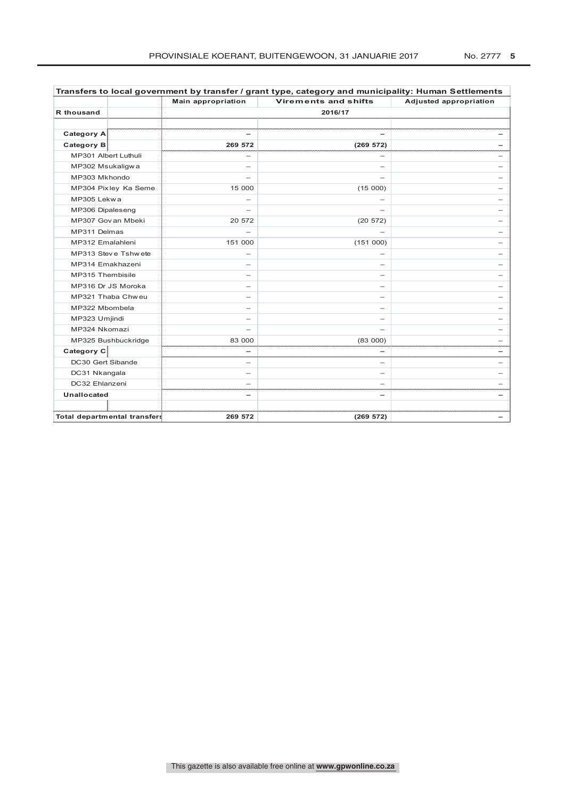| Transfers to local government by transfer / grant type, category and municipality: Human Settlements |                    |                      |                               |  |  |  |  |
|------------------------------------------------------------------------------------------------------|--------------------|----------------------|-------------------------------|--|--|--|--|
|                                                                                                      | Main appropriation | Virements and shifts | <b>Adjusted appropriation</b> |  |  |  |  |
| R thousand                                                                                           | 2016/17            |                      |                               |  |  |  |  |
|                                                                                                      |                    |                      |                               |  |  |  |  |
| Category A                                                                                           |                    |                      |                               |  |  |  |  |
| Category B                                                                                           | 269 572            | (269 572)            |                               |  |  |  |  |
| MP301 Albert Luthuli                                                                                 |                    |                      |                               |  |  |  |  |
| MP302 Msukaligwa                                                                                     |                    |                      |                               |  |  |  |  |
| MP303 Mkhondo                                                                                        |                    |                      |                               |  |  |  |  |
| MP304 Pixley Ka Seme                                                                                 | 15 000             | (15000)              |                               |  |  |  |  |
| MP305 Lekwa                                                                                          |                    |                      |                               |  |  |  |  |
| MP306 Dipaleseng                                                                                     |                    |                      |                               |  |  |  |  |
| MP307 Gov an Mbeki                                                                                   | 20 572             | (20 572)             |                               |  |  |  |  |
| MP311 Delmas                                                                                         |                    |                      |                               |  |  |  |  |
| MP312 Emalahleni                                                                                     | 151 000            | (151000)             |                               |  |  |  |  |
| MP313 Steve Tshwete                                                                                  |                    |                      |                               |  |  |  |  |
| MP314 Emakhazeni                                                                                     |                    |                      |                               |  |  |  |  |
| MP315 Thembisile                                                                                     |                    |                      |                               |  |  |  |  |
| MP316 Dr JS Moroka                                                                                   |                    |                      |                               |  |  |  |  |
| MP321 Thaba Chweu                                                                                    |                    |                      |                               |  |  |  |  |
| MP322 Mbombela                                                                                       |                    |                      |                               |  |  |  |  |
| MP323 Umjindi                                                                                        | $\equiv$           |                      |                               |  |  |  |  |
| MP324 Nkomazi                                                                                        |                    |                      |                               |  |  |  |  |
| MP325 Bushbuckridge                                                                                  | 83 000             | (83 000)             |                               |  |  |  |  |
| Category C                                                                                           | —                  |                      |                               |  |  |  |  |
| DC30 Gert Sibande                                                                                    | —                  |                      |                               |  |  |  |  |
| DC31 Nkangala                                                                                        |                    |                      |                               |  |  |  |  |
| DC32 Ehlanzeni                                                                                       |                    |                      |                               |  |  |  |  |
| Unallocated                                                                                          | —                  |                      |                               |  |  |  |  |
|                                                                                                      |                    |                      |                               |  |  |  |  |
| Total departmental transfers                                                                         | 269 572            | (269 572)            |                               |  |  |  |  |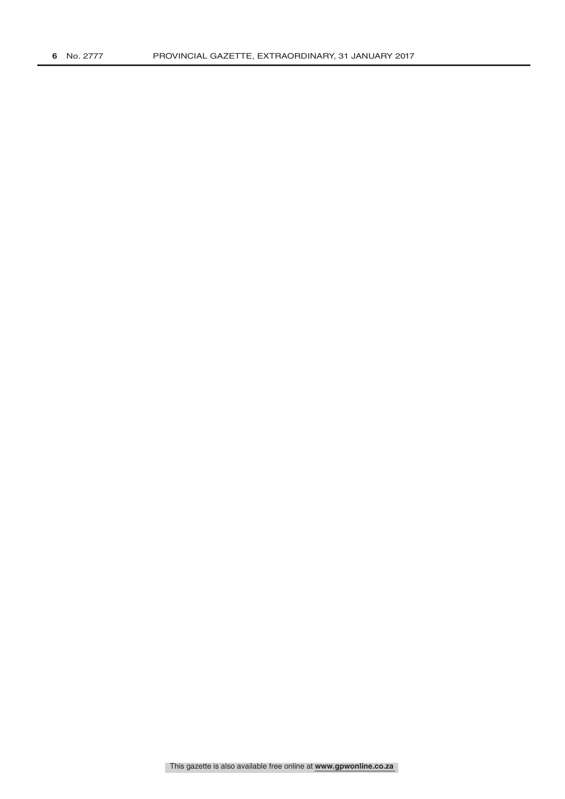This gazette is also available free online at **www.gpwonline.co.za**